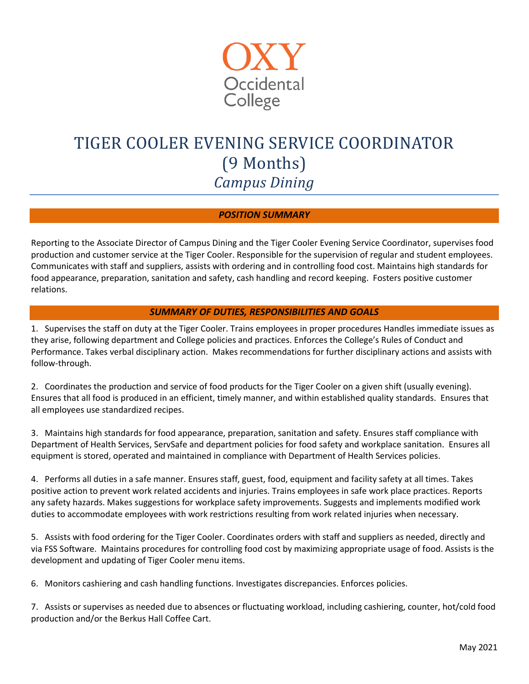

# TIGER COOLER EVENING SERVICE COORDINATOR (9 Months) *Campus Dining*

### *POSITION SUMMARY*

Reporting to the Associate Director of Campus Dining and the Tiger Cooler Evening Service Coordinator, supervises food production and customer service at the Tiger Cooler. Responsible for the supervision of regular and student employees. Communicates with staff and suppliers, assists with ordering and in controlling food cost. Maintains high standards for food appearance, preparation, sanitation and safety, cash handling and record keeping. Fosters positive customer relations.

### *SUMMARY OF DUTIES, RESPONSIBILITIES AND GOALS*

1. Supervises the staff on duty at the Tiger Cooler. Trains employees in proper procedures Handles immediate issues as they arise, following department and College policies and practices. Enforces the College's Rules of Conduct and Performance. Takes verbal disciplinary action. Makes recommendations for further disciplinary actions and assists with follow-through.

2. Coordinates the production and service of food products for the Tiger Cooler on a given shift (usually evening). Ensures that all food is produced in an efficient, timely manner, and within established quality standards. Ensures that all employees use standardized recipes.

3. Maintains high standards for food appearance, preparation, sanitation and safety. Ensures staff compliance with Department of Health Services, ServSafe and department policies for food safety and workplace sanitation. Ensures all equipment is stored, operated and maintained in compliance with Department of Health Services policies.

4. Performs all duties in a safe manner. Ensures staff, guest, food, equipment and facility safety at all times. Takes positive action to prevent work related accidents and injuries. Trains employees in safe work place practices. Reports any safety hazards. Makes suggestions for workplace safety improvements. Suggests and implements modified work duties to accommodate employees with work restrictions resulting from work related injuries when necessary.

5. Assists with food ordering for the Tiger Cooler. Coordinates orders with staff and suppliers as needed, directly and via FSS Software. Maintains procedures for controlling food cost by maximizing appropriate usage of food. Assists is the development and updating of Tiger Cooler menu items.

6. Monitors cashiering and cash handling functions. Investigates discrepancies. Enforces policies.

7. Assists or supervises as needed due to absences or fluctuating workload, including cashiering, counter, hot/cold food production and/or the Berkus Hall Coffee Cart.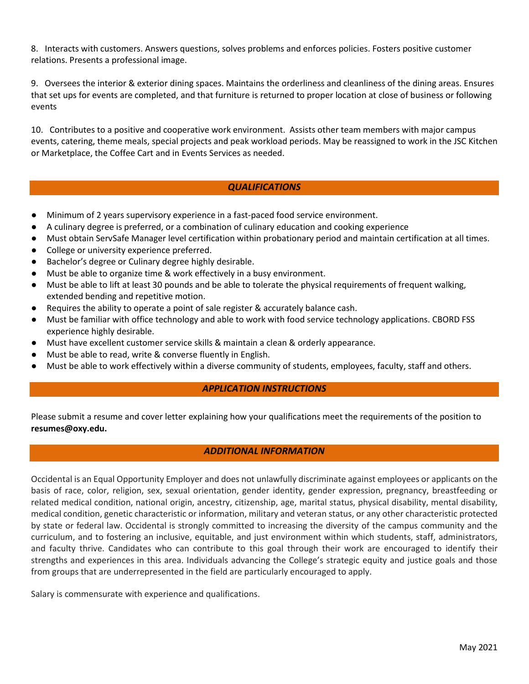8. Interacts with customers. Answers questions, solves problems and enforces policies. Fosters positive customer relations. Presents a professional image.

9. Oversees the interior & exterior dining spaces. Maintains the orderliness and cleanliness of the dining areas. Ensures that set ups for events are completed, and that furniture is returned to proper location at close of business or following events

10. Contributes to a positive and cooperative work environment. Assists other team members with major campus events, catering, theme meals, special projects and peak workload periods. May be reassigned to work in the JSC Kitchen or Marketplace, the Coffee Cart and in Events Services as needed.

# *QUALIFICATIONS*

- Minimum of 2 years supervisory experience in a fast-paced food service environment.
- A culinary degree is preferred, or a combination of culinary education and cooking experience
- Must obtain ServSafe Manager level certification within probationary period and maintain certification at all times.
- College or university experience preferred.
- Bachelor's degree or Culinary degree highly desirable.
- Must be able to organize time & work effectively in a busy environment.
- Must be able to lift at least 30 pounds and be able to tolerate the physical requirements of frequent walking, extended bending and repetitive motion.
- Requires the ability to operate a point of sale register & accurately balance cash.
- Must be familiar with office technology and able to work with food service technology applications. CBORD FSS experience highly desirable.
- Must have excellent customer service skills & maintain a clean & orderly appearance.
- Must be able to read, write & converse fluently in English.
- Must be able to work effectively within a diverse community of students, employees, faculty, staff and others.

# *APPLICATION INSTRUCTIONS*

Please submit a resume and cover letter explaining how your qualifications meet the requirements of the position to **[resumes@oxy.edu.](mailto:resumes@oxy.edu)** 

#### *ADDITIONAL INFORMATION*

Occidental is an Equal Opportunity Employer and does not unlawfully discriminate against employees or applicants on the basis of race, color, religion, sex, sexual orientation, gender identity, gender expression, pregnancy, breastfeeding or related medical condition, national origin, ancestry, citizenship, age, marital status, physical disability, mental disability, medical condition, genetic characteristic or information, military and veteran status, or any other characteristic protected by state or federal law. Occidental is strongly committed to increasing the diversity of the campus community and the curriculum, and to fostering an inclusive, equitable, and just environment within which students, staff, administrators, and faculty thrive. Candidates who can contribute to this goal through their work are encouraged to identify their strengths and experiences in this area. Individuals advancing the College's strategic equity and justice goals and those from groups that are underrepresented in the field are particularly encouraged to apply.

Salary is commensurate with experience and qualifications.